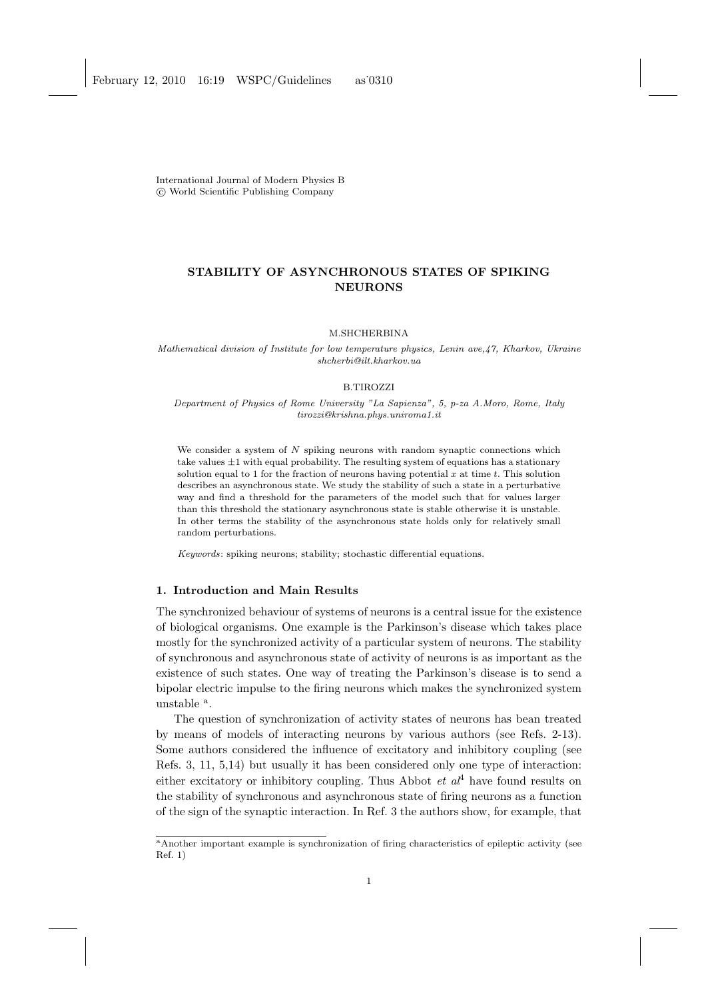International Journal of Modern Physics B c World Scientific Publishing Company

# STABILITY OF ASYNCHRONOUS STATES OF SPIKING NEURONS

M.SHCHERBINA

Mathematical division of Institute for low temperature physics, Lenin ave,47, Kharkov, Ukraine shcherbi@ilt.kharkov.ua

## B.TIROZZI

Department of Physics of Rome University "La Sapienza", 5, p-za A.Moro, Rome, Italy tirozzi@krishna.phys.uniroma1.it

We consider a system of  $N$  spiking neurons with random synaptic connections which take values  $\pm 1$  with equal probability. The resulting system of equations has a stationary solution equal to 1 for the fraction of neurons having potential  $x$  at time  $t$ . This solution describes an asynchronous state. We study the stability of such a state in a perturbative way and find a threshold for the parameters of the model such that for values larger than this threshold the stationary asynchronous state is stable otherwise it is unstable. In other terms the stability of the asynchronous state holds only for relatively small random perturbations.

Keywords: spiking neurons; stability; stochastic differential equations.

# 1. Introduction and Main Results

The synchronized behaviour of systems of neurons is a central issue for the existence of biological organisms. One example is the Parkinson's disease which takes place mostly for the synchronized activity of a particular system of neurons. The stability of synchronous and asynchronous state of activity of neurons is as important as the existence of such states. One way of treating the Parkinson's disease is to send a bipolar electric impulse to the firing neurons which makes the synchronized system unstable <sup>a</sup>.

The question of synchronization of activity states of neurons has bean treated by means of models of interacting neurons by various authors (see Refs. 2-13). Some authors considered the influence of excitatory and inhibitory coupling (see Refs. 3, 11, 5,14) but usually it has been considered only one type of interaction: either excitatory or inhibitory coupling. Thus Abbot *et al*<sup>4</sup> have found results on the stability of synchronous and asynchronous state of firing neurons as a function of the sign of the synaptic interaction. In Ref. 3 the authors show, for example, that

<sup>a</sup>Another important example is synchronization of firing characteristics of epileptic activity (see Ref. 1)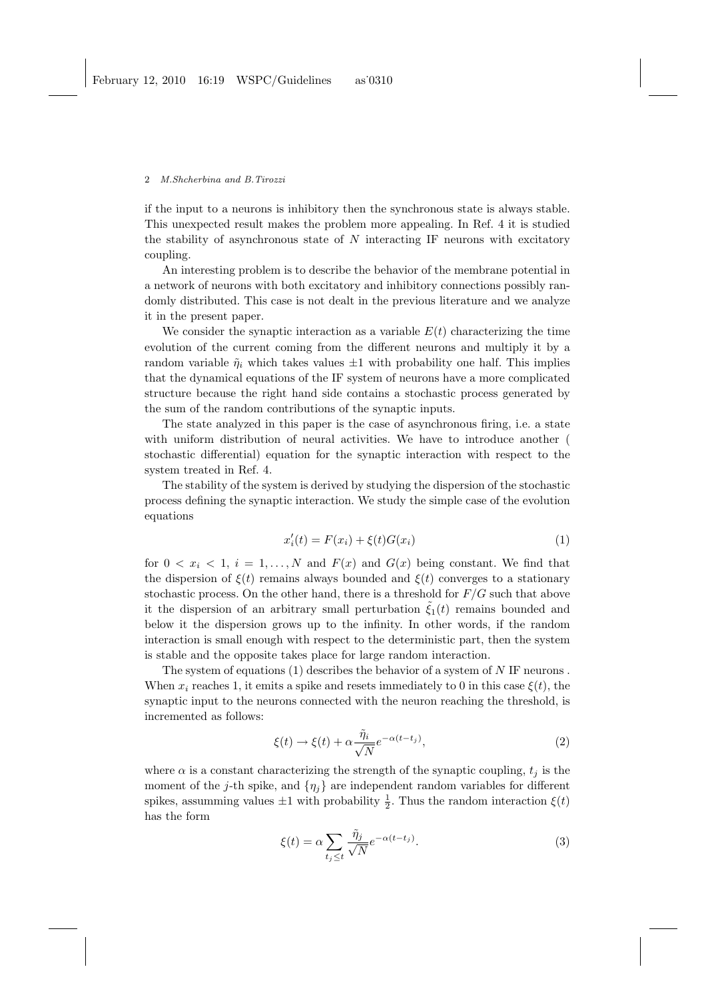if the input to a neurons is inhibitory then the synchronous state is always stable. This unexpected result makes the problem more appealing. In Ref. 4 it is studied the stability of asynchronous state of  $N$  interacting IF neurons with excitatory coupling.

An interesting problem is to describe the behavior of the membrane potential in a network of neurons with both excitatory and inhibitory connections possibly randomly distributed. This case is not dealt in the previous literature and we analyze it in the present paper.

We consider the synaptic interaction as a variable  $E(t)$  characterizing the time evolution of the current coming from the different neurons and multiply it by a random variable  $\tilde{\eta}_i$  which takes values  $\pm 1$  with probability one half. This implies that the dynamical equations of the IF system of neurons have a more complicated structure because the right hand side contains a stochastic process generated by the sum of the random contributions of the synaptic inputs.

The state analyzed in this paper is the case of asynchronous firing, i.e. a state with uniform distribution of neural activities. We have to introduce another ( stochastic differential) equation for the synaptic interaction with respect to the system treated in Ref. 4.

The stability of the system is derived by studying the dispersion of the stochastic process defining the synaptic interaction. We study the simple case of the evolution equations

$$
x'_{i}(t) = F(x_{i}) + \xi(t)G(x_{i})
$$
\n(1)

for  $0 < x_i < 1$ ,  $i = 1, ..., N$  and  $F(x)$  and  $G(x)$  being constant. We find that the dispersion of  $\xi(t)$  remains always bounded and  $\xi(t)$  converges to a stationary stochastic process. On the other hand, there is a threshold for  $F/G$  such that above it the dispersion of an arbitrary small perturbation  $\hat{\zeta}_1(t)$  remains bounded and below it the dispersion grows up to the infinity. In other words, if the random interaction is small enough with respect to the deterministic part, then the system is stable and the opposite takes place for large random interaction.

The system of equations  $(1)$  describes the behavior of a system of N IF neurons. When  $x_i$  reaches 1, it emits a spike and resets immediately to 0 in this case  $\xi(t)$ , the synaptic input to the neurons connected with the neuron reaching the threshold, is incremented as follows:

$$
\xi(t) \to \xi(t) + \alpha \frac{\tilde{\eta}_i}{\sqrt{N}} e^{-\alpha(t - t_j)},\tag{2}
$$

where  $\alpha$  is a constant characterizing the strength of the synaptic coupling,  $t_i$  is the moment of the j-th spike, and  $\{\eta_i\}$  are independent random variables for different spikes, assumming values  $\pm 1$  with probability  $\frac{1}{2}$ . Thus the random interaction  $\xi(t)$ has the form

$$
\xi(t) = \alpha \sum_{t_j \le t} \frac{\tilde{\eta}_j}{\sqrt{N}} e^{-\alpha(t - t_j)}.
$$
\n(3)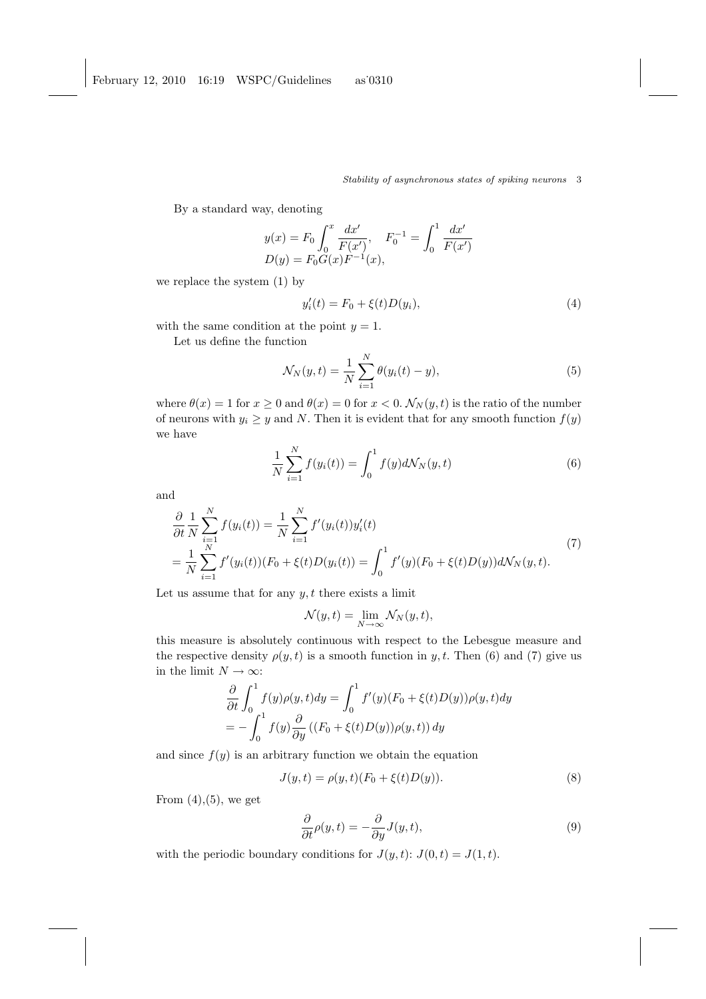By a standard way, denoting

$$
y(x) = F_0 \int_0^x \frac{dx'}{F(x')} , \quad F_0^{-1} = \int_0^1 \frac{dx'}{F(x')} D(y) = F_0 G(x) F^{-1}(x) ,
$$

we replace the system (1) by

$$
y_i'(t) = F_0 + \xi(t)D(y_i),
$$
\n(4)

with the same condition at the point  $y = 1$ .

Let us define the function

$$
\mathcal{N}_N(y, t) = \frac{1}{N} \sum_{i=1}^N \theta(y_i(t) - y),
$$
\n(5)

where  $\theta(x) = 1$  for  $x \ge 0$  and  $\theta(x) = 0$  for  $x < 0$ .  $\mathcal{N}_N(y, t)$  is the ratio of the number of neurons with  $y_i \geq y$  and N. Then it is evident that for any smooth function  $f(y)$ we have

$$
\frac{1}{N} \sum_{i=1}^{N} f(y_i(t)) = \int_0^1 f(y) d\mathcal{N}_N(y, t)
$$
\n(6)

and

$$
\frac{\partial}{\partial t} \frac{1}{N} \sum_{i=1}^{N} f(y_i(t)) = \frac{1}{N} \sum_{i=1}^{N} f'(y_i(t)) y_i'(t)
$$
\n
$$
= \frac{1}{N} \sum_{i=1}^{N} f'(y_i(t)) (F_0 + \xi(t)D(y_i(t)) = \int_0^1 f'(y)(F_0 + \xi(t)D(y)) d\mathcal{N}_N(y, t).
$$
\n(7)

Let us assume that for any  $y, t$  there exists a limit

$$
\mathcal{N}(y,t) = \lim_{N \to \infty} \mathcal{N}_N(y,t),
$$

this measure is absolutely continuous with respect to the Lebesgue measure and the respective density  $\rho(y, t)$  is a smooth function in y, t. Then (6) and (7) give us in the limit  $N \to \infty$ :

$$
\frac{\partial}{\partial t} \int_0^1 f(y)\rho(y, t) dy = \int_0^1 f'(y)(F_0 + \xi(t)D(y))\rho(y, t) dy
$$
  
= 
$$
- \int_0^1 f(y)\frac{\partial}{\partial y} ((F_0 + \xi(t)D(y))\rho(y, t)) dy
$$

and since  $f(y)$  is an arbitrary function we obtain the equation

$$
J(y,t) = \rho(y,t)(F_0 + \xi(t)D(y)).
$$
\n(8)

From  $(4)$ , $(5)$ , we get

$$
\frac{\partial}{\partial t}\rho(y,t) = -\frac{\partial}{\partial y}J(y,t),\tag{9}
$$

with the periodic boundary conditions for  $J(y, t)$ :  $J(0, t) = J(1, t)$ .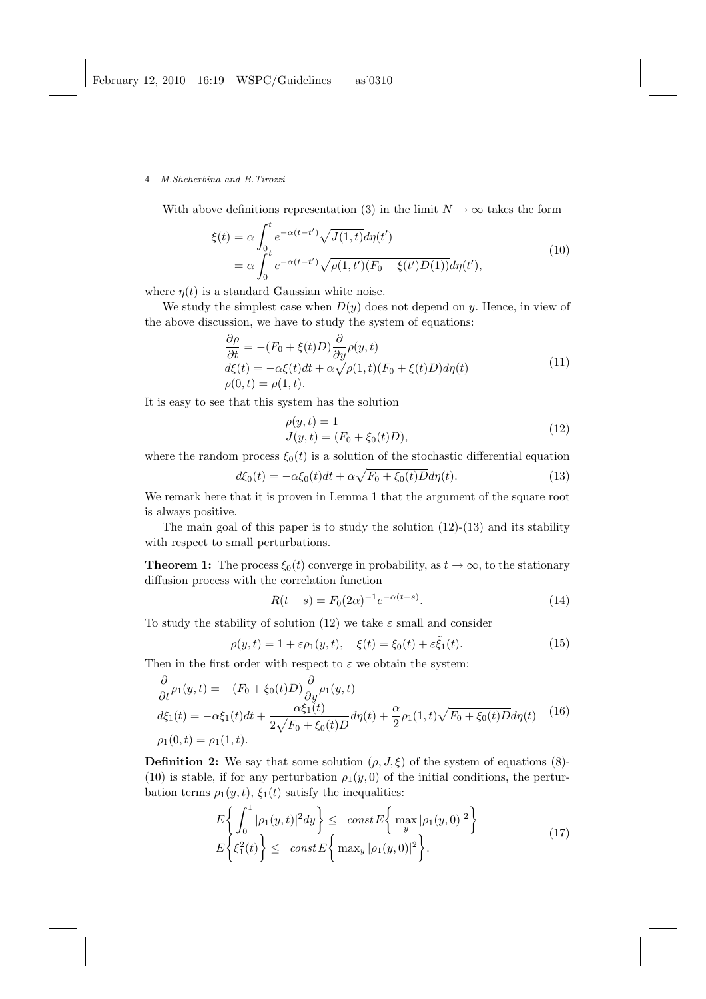With above definitions representation (3) in the limit  $N \to \infty$  takes the form

$$
\xi(t) = \alpha \int_0^t e^{-\alpha(t-t')} \sqrt{J(1,t)} d\eta(t')
$$
  
=  $\alpha \int_0^t e^{-\alpha(t-t')} \sqrt{\rho(1,t') (F_0 + \xi(t') D(1))} d\eta(t'),$  (10)

where  $\eta(t)$  is a standard Gaussian white noise.

We study the simplest case when  $D(y)$  does not depend on y. Hence, in view of the above discussion, we have to study the system of equations:

$$
\frac{\partial \rho}{\partial t} = -(F_0 + \xi(t)D) \frac{\partial}{\partial y} \rho(y, t) \nd\xi(t) = -\alpha \xi(t)dt + \alpha \sqrt{\rho(1, t)(F_0 + \xi(t)D)} d\eta(t) \n\rho(0, t) = \rho(1, t).
$$
\n(11)

It is easy to see that this system has the solution

$$
\rho(y, t) = 1 \nJ(y, t) = (F_0 + \xi_0(t)D),
$$
\n(12)

where the random process  $\xi_0(t)$  is a solution of the stochastic differential equation

$$
d\xi_0(t) = -\alpha \xi_0(t)dt + \alpha \sqrt{F_0 + \xi_0(t)D}d\eta(t).
$$
 (13)

We remark here that it is proven in Lemma 1 that the argument of the square root is always positive.

The main goal of this paper is to study the solution  $(12)-(13)$  and its stability with respect to small perturbations.

**Theorem 1:** The process  $\xi_0(t)$  converge in probability, as  $t \to \infty$ , to the stationary diffusion process with the correlation function

$$
R(t - s) = F_0(2\alpha)^{-1} e^{-\alpha(t - s)}.
$$
\n(14)

To study the stability of solution (12) we take  $\varepsilon$  small and consider

$$
\rho(y,t) = 1 + \varepsilon \rho_1(y,t), \quad \xi(t) = \xi_0(t) + \varepsilon \tilde{\xi}_1(t). \tag{15}
$$

Then in the first order with respect to  $\varepsilon$  we obtain the system:

$$
\frac{\partial}{\partial t}\rho_1(y,t) = -(F_0 + \xi_0(t)D)\frac{\partial}{\partial y}\rho_1(y,t) \nd\xi_1(t) = -\alpha\xi_1(t)dt + \frac{\alpha\xi_1(t)}{2\sqrt{F_0 + \xi_0(t)D}}d\eta(t) + \frac{\alpha}{2}\rho_1(1,t)\sqrt{F_0 + \xi_0(t)D}d\eta(t)
$$
\n(16)

**Definition 2:** We say that some solution  $(\rho, J, \xi)$  of the system of equations (8)-(10) is stable, if for any perturbation  $\rho_1(y, 0)$  of the initial conditions, the perturbation terms  $\rho_1(y, t)$ ,  $\xi_1(t)$  satisfy the inequalities:

$$
E\left\{\int_0^1 |\rho_1(y,t)|^2 dy\right\} \leq \operatorname{const} E\left\{\max_y |\rho_1(y,0)|^2\right\}
$$
  

$$
E\left\{\xi_1^2(t)\right\} \leq \operatorname{const} E\left\{\max_y |\rho_1(y,0)|^2\right\}.
$$
 (17)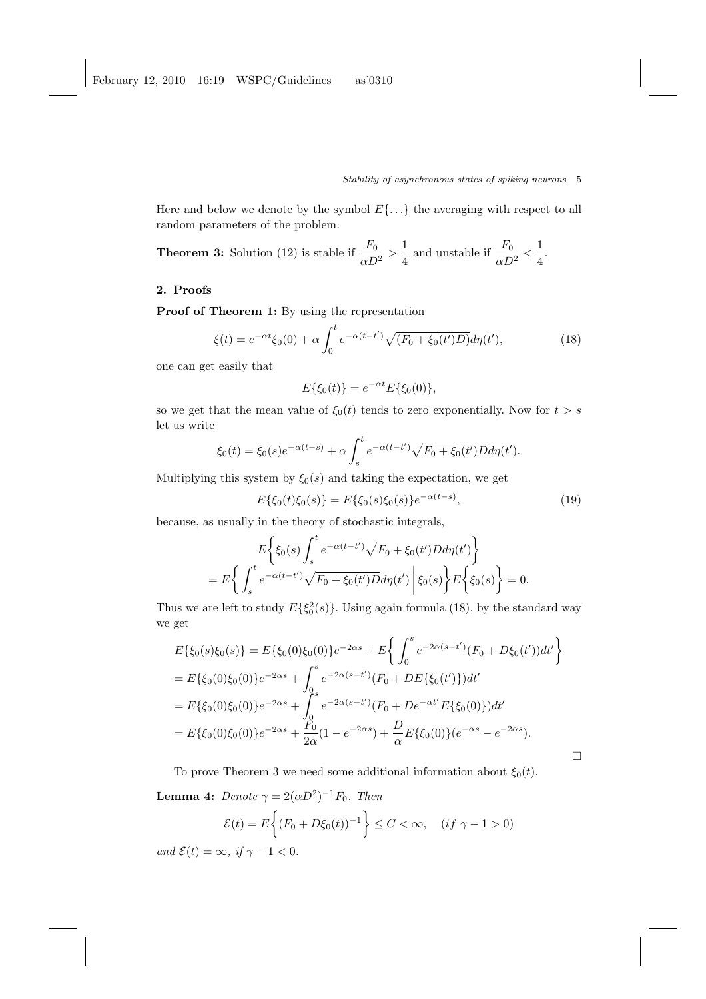Here and below we denote by the symbol  $E\{\ldots\}$  the averaging with respect to all random parameters of the problem.

**Theorem 3:** Solution (12) is stable if  $\frac{F_0}{\alpha D^2} > \frac{1}{4}$  $\frac{1}{4}$  and unstable if  $\frac{F_0}{\alpha D^2} < \frac{1}{4}$  $\frac{1}{4}$ .

## 2. Proofs

Proof of Theorem 1: By using the representation

$$
\xi(t) = e^{-\alpha t} \xi_0(0) + \alpha \int_0^t e^{-\alpha(t - t')} \sqrt{(F_0 + \xi_0(t')D)} d\eta(t'), \tag{18}
$$

one can get easily that

$$
E\{\xi_0(t)\} = e^{-\alpha t} E\{\xi_0(0)\},\
$$

so we get that the mean value of  $\xi_0(t)$  tends to zero exponentially. Now for  $t > s$ let us write

$$
\xi_0(t) = \xi_0(s)e^{-\alpha(t-s)} + \alpha \int_s^t e^{-\alpha(t-t')} \sqrt{F_0 + \xi_0(t')} D d\eta(t').
$$

Multiplying this system by  $\xi_0(s)$  and taking the expectation, we get

$$
E\{\xi_0(t)\xi_0(s)\} = E\{\xi_0(s)\xi_0(s)\}e^{-\alpha(t-s)},\tag{19}
$$

 $\Box$ 

because, as usually in the theory of stochastic integrals,

$$
E\left\{\xi_0(s)\int_s^t e^{-\alpha(t-t')}\sqrt{F_0+\xi_0(t')D}d\eta(t')\right\}
$$
  
= 
$$
E\left\{\int_s^t e^{-\alpha(t-t')}\sqrt{F_0+\xi_0(t')D}d\eta(t')\middle|\xi_0(s)\right\}E\left\{\xi_0(s)\right\}=0.
$$

Thus we are left to study  $E\{\xi_0^2(s)\}\$ . Using again formula (18), by the standard way we get  $\ddot{\phantom{0}}$ 

$$
E\{\xi_0(s)\xi_0(s)\} = E\{\xi_0(0)\xi_0(0)\}e^{-2\alpha s} + E\left\{\int_0^s e^{-2\alpha(s-t')} (F_0 + D\xi_0(t'))dt'\right\}
$$
  
=  $E\{\xi_0(0)\xi_0(0)\}e^{-2\alpha s} + \int_0^s e^{-2\alpha(s-t')} (F_0 + DE\{\xi_0(t')\})dt'$   
=  $E\{\xi_0(0)\xi_0(0)\}e^{-2\alpha s} + \int_0^s e^{-2\alpha(s-t')} (F_0 + De^{-\alpha t'}E\{\xi_0(0)\})dt'$   
=  $E\{\xi_0(0)\xi_0(0)\}e^{-2\alpha s} + \frac{F_0}{2\alpha}(1 - e^{-2\alpha s}) + \frac{D}{\alpha}E\{\xi_0(0)\}(e^{-\alpha s} - e^{-2\alpha s}).$ 

To prove Theorem 3 we need some additional information about  $\xi_0(t)$ . **Lemma 4:** Denote  $\gamma = 2(\alpha D^2)^{-1}F_0$ . Then 

$$
\mathcal{E}(t) = E\bigg\{(F_0 + D\xi_0(t))^{-1}\bigg\} \le C < \infty, \quad (if \ \gamma - 1 > 0)
$$

and  $\mathcal{E}(t) = \infty$ , if  $\gamma - 1 < 0$ .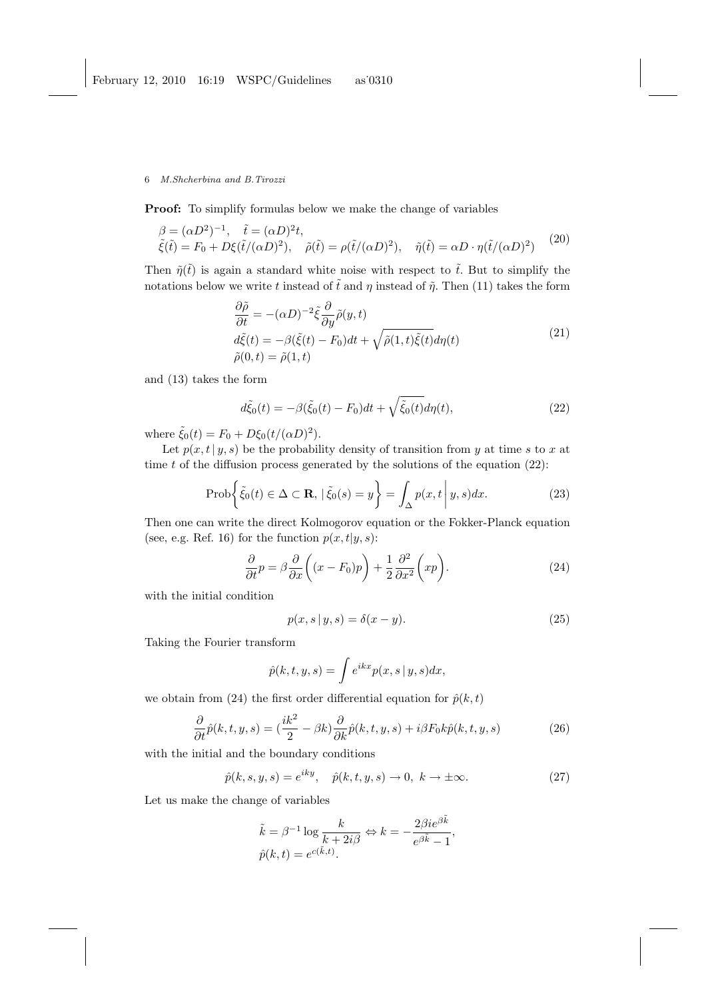Proof: To simplify formulas below we make the change of variables

$$
\begin{aligned}\n\beta &= (\alpha D^2)^{-1}, \quad \tilde{t} = (\alpha D)^2 t, \\
\tilde{\xi}(\tilde{t}) &= F_0 + D\xi(\tilde{t}/(\alpha D)^2), \quad \tilde{\rho}(\tilde{t}) = \rho(\tilde{t}/(\alpha D)^2), \quad \tilde{\eta}(\tilde{t}) = \alpha D \cdot \eta(\tilde{t}/(\alpha D)^2)\n\end{aligned} \tag{20}
$$

Then  $\tilde{\eta}(\tilde{t})$  is again a standard white noise with respect to  $\tilde{t}$ . But to simplify the notations below we write t instead of  $\tilde{t}$  and  $\eta$  instead of  $\tilde{\eta}$ . Then (11) takes the form

$$
\frac{\partial \tilde{\rho}}{\partial t} = -(\alpha D)^{-2} \tilde{\xi} \frac{\partial}{\partial y} \tilde{\rho}(y, t) \nd\tilde{\xi}(t) = -\beta (\tilde{\xi}(t) - F_0) dt + \sqrt{\tilde{\rho}(1, t) \tilde{\xi}(t)} d\eta(t) \n\tilde{\rho}(0, t) = \tilde{\rho}(1, t)
$$
\n(21)

and (13) takes the form

$$
d\tilde{\xi}_0(t) = -\beta(\tilde{\xi}_0(t) - F_0)dt + \sqrt{\tilde{\xi}_0(t)}d\eta(t),
$$
\n(22)

where  $\tilde{\xi}_0(t) = F_0 + D\xi_0(t/(\alpha D)^2)$ .

Let  $p(x, t | y, s)$  be the probability density of transition from y at time s to x at time  $t$  of the diffusion process generated by the solutions of the equation  $(22)$ :

$$
\text{Prob}\bigg\{\tilde{\xi}_0(t)\in\Delta\subset\mathbf{R},\,|\,\tilde{\xi}_0(s)=y\bigg\}=\int_{\Delta}p(x,t\,\bigg|\,y,s)dx.\tag{23}
$$

Then one can write the direct Kolmogorov equation or the Fokker-Planck equation (see, e.g. Ref. 16) for the function  $p(x, t|y, s)$ :

$$
\frac{\partial}{\partial t}p = \beta \frac{\partial}{\partial x} \left( (x - F_0)p \right) + \frac{1}{2} \frac{\partial^2}{\partial x^2} \left( xp \right). \tag{24}
$$

with the initial condition

$$
p(x, s | y, s) = \delta(x - y). \tag{25}
$$

Taking the Fourier transform

$$
\hat{p}(k, t, y, s) = \int e^{ikx} p(x, s \mid y, s) dx,
$$

we obtain from (24) the first order differential equation for  $\hat{p}(k,t)$ 

$$
\frac{\partial}{\partial t}\hat{p}(k,t,y,s) = \left(\frac{ik^2}{2} - \beta k\right)\frac{\partial}{\partial k}\hat{p}(k,t,y,s) + i\beta F_0 k \hat{p}(k,t,y,s) \tag{26}
$$

with the initial and the boundary conditions

$$
\hat{p}(k,s,y,s) = e^{iky}, \quad \hat{p}(k,t,y,s) \to 0, \ k \to \pm \infty.
$$
 (27)

Let us make the change of variables

$$
\tilde{k} = \beta^{-1} \log \frac{k}{k + 2i\beta} \Leftrightarrow k = -\frac{2\beta i e^{\beta \tilde{k}}}{e^{\beta \tilde{k}} - 1},
$$
  

$$
\hat{p}(k, t) = e^{c(\tilde{k}, t)}.
$$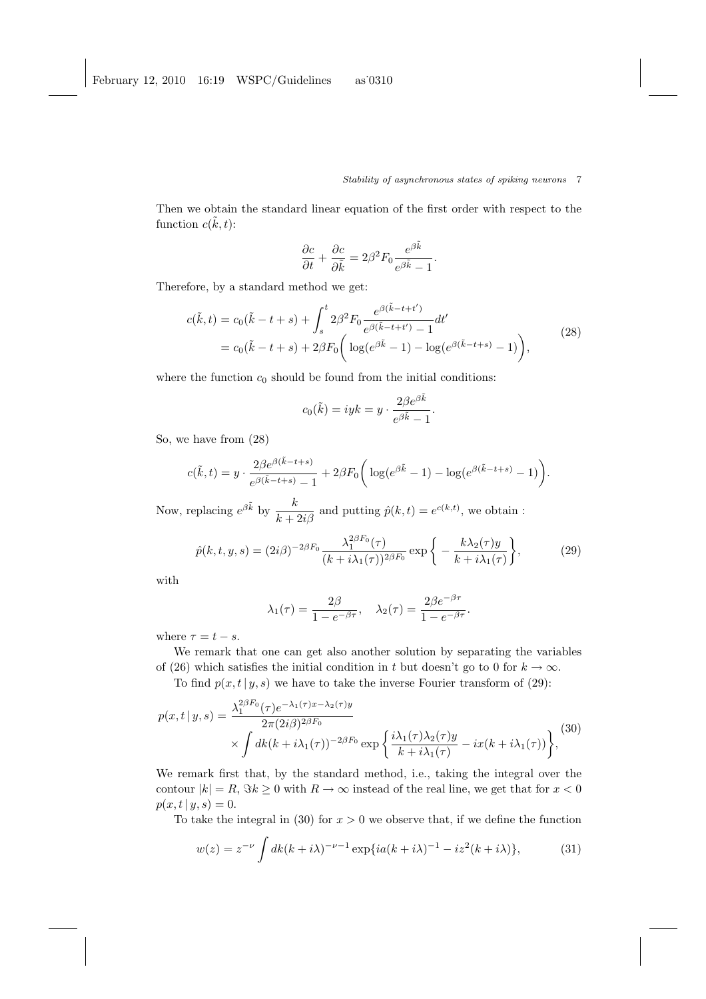Then we obtain the standard linear equation of the first order with respect to the function  $c(\tilde{k}, t)$ :

$$
\frac{\partial c}{\partial t} + \frac{\partial c}{\partial \tilde{k}} = 2\beta^2 F_0 \frac{e^{\beta \tilde{k}}}{e^{\beta \tilde{k}} - 1}.
$$

Therefore, by a standard method we get:

$$
c(\tilde{k},t) = c_0(\tilde{k}-t+s) + \int_s^t 2\beta^2 F_0 \frac{e^{\beta(\tilde{k}-t+t')}}{e^{\beta(\tilde{k}-t+t')} - 1} dt'
$$
  
=  $c_0(\tilde{k}-t+s) + 2\beta F_0 \left( \log(e^{\beta \tilde{k}}-1) - \log(e^{\beta(\tilde{k}-t+s)}-1) \right),$  (28)

where the function  $c_0$  should be found from the initial conditions:

$$
c_0(\tilde{k}) = i y k = y \cdot \frac{2 \beta e^{\beta \tilde{k}}}{e^{\beta \tilde{k}} - 1}.
$$

So, we have from (28)

$$
c(\tilde{k},t) = y \cdot \frac{2\beta e^{\beta(\tilde{k}-t+s)}}{e^{\beta(\tilde{k}-t+s)}-1} + 2\beta F_0 \bigg(\log(e^{\beta\tilde{k}}-1) - \log(e^{\beta(\tilde{k}-t+s)}-1)\bigg).
$$

Now, replacing  $e^{\beta \tilde{k}}$  by  $\frac{k}{k+2i\beta}$  and putting  $\hat{p}(k,t) = e^{c(k,t)}$ , we obtain :

$$
\hat{p}(k,t,y,s) = (2i\beta)^{-2\beta F_0} \frac{\lambda_1^{2\beta F_0}(\tau)}{(k+i\lambda_1(\tau))^{2\beta F_0}} \exp\bigg\{-\frac{k\lambda_2(\tau)y}{k+i\lambda_1(\tau)}\bigg\},\tag{29}
$$

with

$$
\lambda_1(\tau) = \frac{2\beta}{1 - e^{-\beta \tau}}, \quad \lambda_2(\tau) = \frac{2\beta e^{-\beta \tau}}{1 - e^{-\beta \tau}}.
$$

where  $\tau = t - s$ .

We remark that one can get also another solution by separating the variables of (26) which satisfies the initial condition in t but doesn't go to 0 for  $k \to \infty$ .

To find  $p(x, t | y, s)$  we have to take the inverse Fourier transform of (29):

$$
p(x,t|y,s) = \frac{\lambda_1^{2\beta F_0(\tau)e^{-\lambda_1(\tau)x-\lambda_2(\tau)y}}{2\pi(2i\beta)^{2\beta F_0}} \times \int dk(k+i\lambda_1(\tau))^{-2\beta F_0} \exp\left\{\frac{i\lambda_1(\tau)\lambda_2(\tau)y}{k+i\lambda_1(\tau)} - ix(k+i\lambda_1(\tau))\right\},
$$
(30)

We remark first that, by the standard method, i.e., taking the integral over the contour  $|k| = R$ ,  $\Im k \ge 0$  with  $R \to \infty$  instead of the real line, we get that for  $x < 0$  $p(x, t | y, s) = 0.$ 

To take the integral in (30) for  $x > 0$  we observe that, if we define the function

$$
w(z) = z^{-\nu} \int dk (k + i\lambda)^{-\nu - 1} \exp\{ia(k + i\lambda)^{-1} - iz^2(k + i\lambda)\},\tag{31}
$$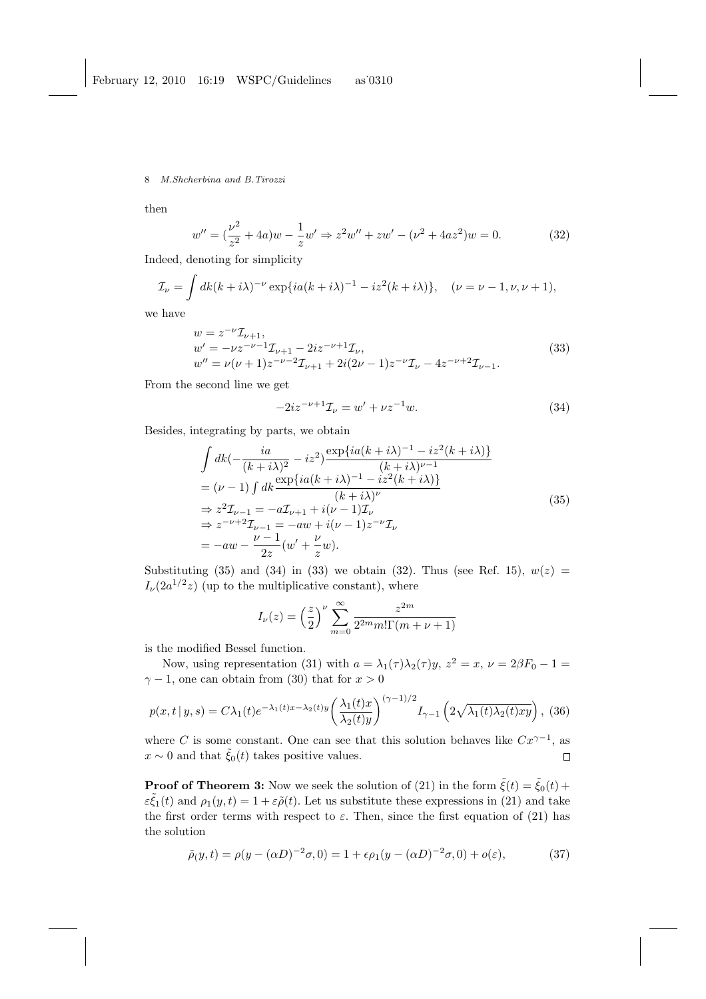then

$$
w'' = \left(\frac{\nu^2}{z^2} + 4a\right)w - \frac{1}{z}w' \Rightarrow z^2w'' + zw' - \left(\nu^2 + 4az^2\right)w = 0.
$$
 (32)

Indeed, denoting for simplicity

$$
\mathcal{I}_{\nu} = \int dk (k + i\lambda)^{-\nu} \exp\{ia(k + i\lambda)^{-1} - iz^2(k + i\lambda)\}, \quad (\nu = \nu - 1, \nu, \nu + 1),
$$

we have

$$
w = z^{-\nu} \mathcal{I}_{\nu+1},
$$
  
\n
$$
w' = -\nu z^{-\nu-1} \mathcal{I}_{\nu+1} - 2iz^{-\nu+1} \mathcal{I}_{\nu},
$$
  
\n
$$
w'' = \nu(\nu+1) z^{-\nu-2} \mathcal{I}_{\nu+1} + 2i(2\nu-1) z^{-\nu} \mathcal{I}_{\nu} - 4z^{-\nu+2} \mathcal{I}_{\nu-1}.
$$
\n(33)

From the second line we get

$$
-2iz^{-\nu+1}\mathcal{I}_{\nu} = w' + \nu z^{-1}w.\tag{34}
$$

Besides, integrating by parts, we obtain

$$
\int dk \left(-\frac{ia}{(k+i\lambda)^2} - iz^2\right) \frac{\exp\{ia(k+i\lambda)^{-1} - iz^2(k+i\lambda)\}}{(k+i\lambda)^{\nu-1}}
$$
\n
$$
= (\nu - 1) \int dk \frac{\exp\{ia(k+i\lambda)^{-1} - iz^2(k+i\lambda)\}}{(k+i\lambda)^{\nu}}
$$
\n
$$
\Rightarrow z^2 \mathcal{I}_{\nu-1} = -a \mathcal{I}_{\nu+1} + i(\nu - 1) \mathcal{I}_{\nu}
$$
\n
$$
\Rightarrow z^{-\nu+2} \mathcal{I}_{\nu-1} = -aw + i(\nu - 1)z^{-\nu} \mathcal{I}_{\nu}
$$
\n
$$
= -aw - \frac{\nu - 1}{2z} (w' + \frac{\nu}{z} w).
$$
\n(35)

Substituting (35) and (34) in (33) we obtain (32). Thus (see Ref. 15),  $w(z)$  =  $I_{\nu}(2a^{1/2}z)$  (up to the multiplicative constant), where

$$
I_{\nu}(z) = \left(\frac{z}{2}\right)^{\nu} \sum_{m=0}^{\infty} \frac{z^{2m}}{2^{2m} m! \Gamma(m + \nu + 1)}
$$

is the modified Bessel function.

Now, using representation (31) with  $a = \lambda_1(\tau)\lambda_2(\tau)y$ ,  $z^2 = x$ ,  $\nu = 2\beta F_0 - 1 =$  $\gamma - 1$ , one can obtain from (30) that for  $x > 0$ 

$$
p(x,t|y,s) = C\lambda_1(t)e^{-\lambda_1(t)x - \lambda_2(t)y} \left(\frac{\lambda_1(t)x}{\lambda_2(t)y}\right)^{(\gamma-1)/2} I_{\gamma-1}\left(2\sqrt{\lambda_1(t)\lambda_2(t)xy}\right),
$$
 (36)

where C is some constant. One can see that this solution behaves like  $Cx^{\gamma-1}$ , as  $x \sim 0$  and that  $\tilde{\xi}_0(t)$  takes positive values.  $\Box$ 

**Proof of Theorem 3:** Now we seek the solution of (21) in the form  $\tilde{\xi}(t) = \tilde{\xi}_0(t) +$  $\varepsilon \tilde{\xi}_1(t)$  and  $\rho_1(y,t) = 1 + \varepsilon \tilde{\rho}(t)$ . Let us substitute these expressions in (21) and take the first order terms with respect to  $\varepsilon$ . Then, since the first equation of (21) has the solution

$$
\tilde{\rho}(y,t) = \rho(y - (\alpha D)^{-2}\sigma, 0) = 1 + \epsilon \rho_1 (y - (\alpha D)^{-2}\sigma, 0) + o(\epsilon),
$$
\n(37)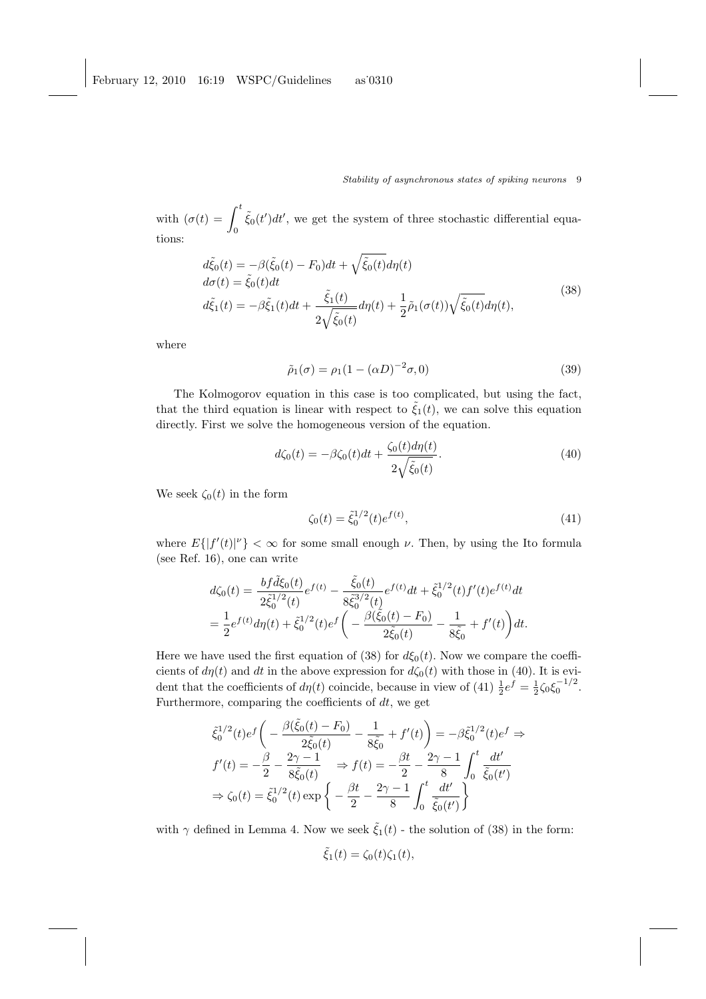with  $(\sigma(t) = \int_0^t$  $\int_{0}^{\infty} \tilde{\xi}_{0}(t')dt'$ , we get the system of three stochastic differential equations:

$$
d\tilde{\xi}_0(t) = -\beta(\tilde{\xi}_0(t) - F_0)dt + \sqrt{\tilde{\xi}_0(t)}d\eta(t) \nd\sigma(t) = \tilde{\xi}_0(t)dt \nd\tilde{\xi}_1(t) = -\beta\tilde{\xi}_1(t)dt + \frac{\tilde{\xi}_1(t)}{2\sqrt{\tilde{\xi}_0(t)}}d\eta(t) + \frac{1}{2}\tilde{\rho}_1(\sigma(t))\sqrt{\tilde{\xi}_0(t)}d\eta(t),
$$
\n(38)

where

$$
\tilde{\rho}_1(\sigma) = \rho_1(1 - (\alpha D)^{-2}\sigma, 0) \tag{39}
$$

The Kolmogorov equation in this case is too complicated, but using the fact, that the third equation is linear with respect to  $\tilde{\xi}_1(t)$ , we can solve this equation directly. First we solve the homogeneous version of the equation.

$$
d\zeta_0(t) = -\beta \zeta_0(t)dt + \frac{\zeta_0(t) d\eta(t)}{2\sqrt{\tilde{\zeta}_0(t)}}.
$$
\n(40)

We seek  $\zeta_0(t)$  in the form

$$
\zeta_0(t) = \tilde{\xi}_0^{1/2}(t)e^{f(t)},\tag{41}
$$

where  $E\{|f'(t)|^{\nu}\}\leq \infty$  for some small enough  $\nu$ . Then, by using the Ito formula (see Ref. 16), one can write

$$
d\zeta_0(t) = \frac{bf\ \tilde{d}\xi_0(t)}{2\tilde{\xi}_0^{1/2}(t)}e^{f(t)} - \frac{\tilde{\xi}_0(t)}{8\tilde{\xi}_0^{3/2}(t)}e^{f(t)}dt + \tilde{\xi}_0^{1/2}(t)f'(t)e^{f(t)}dt
$$
  
= 
$$
\frac{1}{2}e^{f(t)}d\eta(t) + \tilde{\xi}_0^{1/2}(t)e^{f\left(-\frac{\beta(\tilde{\xi}_0(t) - F_0)}{2\tilde{\xi}_0(t)} - \frac{1}{8\tilde{\xi}_0} + f'(t)\right)dt.
$$

Here we have used the first equation of (38) for  $d\xi_0(t)$ . Now we compare the coefficients of  $d\eta(t)$  and dt in the above expression for  $d\zeta_0(t)$  with those in (40). It is evident that the coefficients of  $d\eta(t)$  coincide, because in view of (41)  $\frac{1}{2}e^{\hat{f}} = \frac{1}{2}\zeta_0 \xi_0^{-1/2}$ . Furthermore, comparing the coefficients of  $dt$ , we get

$$
\tilde{\xi}_{0}^{1/2}(t)e^{f}\left(-\frac{\beta(\tilde{\xi}_{0}(t)-F_{0})}{2\tilde{\xi}_{0}(t)}-\frac{1}{8\tilde{\xi}_{0}}+f'(t)\right)=-\beta\tilde{\xi}_{0}^{1/2}(t)e^{f} \Rightarrow \nf'(t)=-\frac{\beta}{2}-\frac{2\gamma-1}{8\tilde{\xi}_{0}(t)} \Rightarrow f(t)=-\frac{\beta t}{2}-\frac{2\gamma-1}{8}\int_{0}^{t}\frac{dt'}{\tilde{\xi}_{0}(t')} \Rightarrow \zeta_{0}(t)=\tilde{\xi}_{0}^{1/2}(t)\exp\left\{-\frac{\beta t}{2}-\frac{2\gamma-1}{8}\int_{0}^{t}\frac{dt'}{\tilde{\xi}_{0}(t')}\right\}
$$

with  $\gamma$  defined in Lemma 4. Now we seek  $\tilde{\xi}_1(t)$  - the solution of (38) in the form:

$$
\tilde{\xi}_1(t) = \zeta_0(t)\zeta_1(t),
$$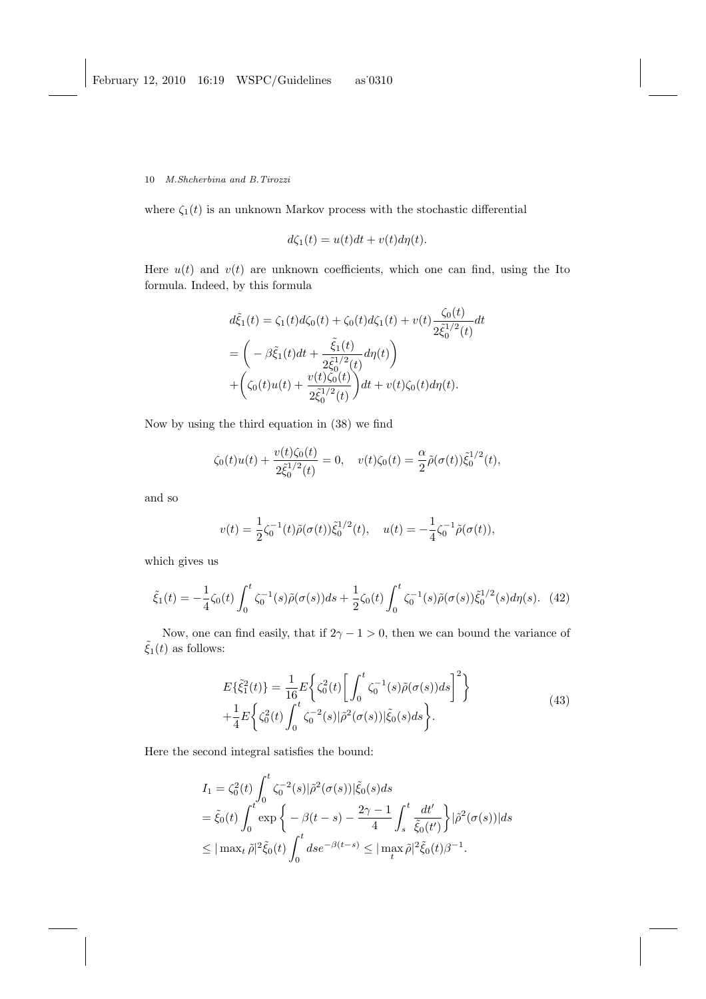where  $\zeta_1(t)$  is an unknown Markov process with the stochastic differential

$$
d\zeta_1(t) = u(t)dt + v(t)d\eta(t).
$$

Here  $u(t)$  and  $v(t)$  are unknown coefficients, which one can find, using the Ito formula. Indeed, by this formula

$$
d\tilde{\xi}_1(t) = \zeta_1(t) d\zeta_0(t) + \zeta_0(t) d\zeta_1(t) + v(t) \frac{\zeta_0(t)}{2\tilde{\xi}_0^{1/2}(t)} dt
$$
  
=  $\left( -\beta \tilde{\xi}_1(t) dt + \frac{\tilde{\xi}_1(t)}{2\tilde{\xi}_0^{1/2}(t)} d\eta(t) \right)$   
+  $\left( \zeta_0(t)u(t) + \frac{v(t)\zeta_0(t)}{2\tilde{\xi}_0^{1/2}(t)} \right) dt + v(t)\zeta_0(t) d\eta(t).$ 

Now by using the third equation in (38) we find

$$
\zeta_0(t)u(t) + \frac{v(t)\zeta_0(t)}{2\tilde{\zeta}_0^{1/2}(t)} = 0, \quad v(t)\zeta_0(t) = \frac{\alpha}{2}\tilde{\rho}(\sigma(t))\tilde{\zeta}_0^{1/2}(t),
$$

and so

$$
v(t) = \frac{1}{2}\zeta_0^{-1}(t)\tilde{\rho}(\sigma(t))\tilde{\xi}_0^{1/2}(t), \quad u(t) = -\frac{1}{4}\zeta_0^{-1}\tilde{\rho}(\sigma(t)),
$$

which gives us

$$
\tilde{\xi}_1(t) = -\frac{1}{4}\zeta_0(t)\int_0^t \zeta_0^{-1}(s)\tilde{\rho}(\sigma(s))ds + \frac{1}{2}\zeta_0(t)\int_0^t \zeta_0^{-1}(s)\tilde{\rho}(\sigma(s))\tilde{\xi}_0^{1/2}(s)d\eta(s). \tag{42}
$$

Now, one can find easily, that if  $2\gamma - 1 > 0$ , then we can bound the variance of  $\tilde{\xi}_1(t)$  as follows:

$$
E\{\tilde{\xi}_1^2(t)\} = \frac{1}{16} E\left\{\zeta_0^2(t) \left[ \int_0^t \zeta_0^{-1}(s) \tilde{\rho}(\sigma(s)) ds \right]^2 \right\} + \frac{1}{4} E\left\{\zeta_0^2(t) \int_0^t \zeta_0^{-2}(s) |\tilde{\rho}^2(\sigma(s))| \tilde{\xi}_0(s) ds \right\}.
$$
\n(43)

Here the second integral satisfies the bound:

$$
I_1 = \zeta_0^2(t) \int_0^t \zeta_0^{-2}(s) |\tilde{\rho}^2(\sigma(s))| \tilde{\xi}_0(s) ds
$$
  
=  $\tilde{\xi}_0(t) \int_0^t \exp \left\{ -\beta(t-s) - \frac{2\gamma - 1}{4} \int_s^t \frac{dt'}{\tilde{\xi}_0(t')} \right\} |\tilde{\rho}^2(\sigma(s))| ds$   
 $\leq |\max_t \tilde{\rho}|^2 \tilde{\xi}_0(t) \int_0^t ds e^{-\beta(t-s)} \leq |\max_t \tilde{\rho}|^2 \tilde{\xi}_0(t) \beta^{-1}.$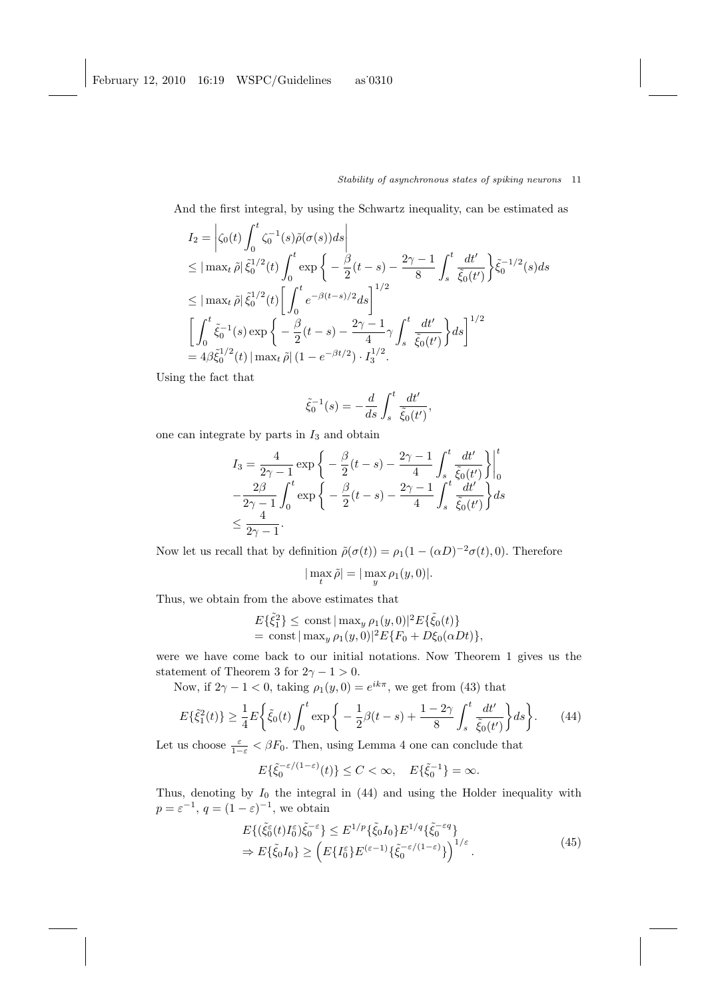And the first integral, by using the Schwartz inequality, can be estimated as

$$
I_2 = \left| \zeta_0(t) \int_0^t \zeta_0^{-1}(s) \tilde{\rho}(\sigma(s)) ds \right|
$$
  
\n
$$
\leq |\max_t \tilde{\rho}| \tilde{\xi}_0^{1/2}(t) \int_0^t \exp \left\{ -\frac{\beta}{2} (t-s) - \frac{2\gamma - 1}{8} \int_s^t \frac{dt'}{\tilde{\xi}_0(t')} \right\} \tilde{\xi}_0^{-1/2}(s) ds
$$
  
\n
$$
\leq |\max_t \tilde{\rho}| \tilde{\xi}_0^{1/2}(t) \left[ \int_0^t e^{-\beta (t-s)/2} ds \right]^{1/2}
$$
  
\n
$$
\left[ \int_0^t \tilde{\xi}_0^{-1}(s) \exp \left\{ -\frac{\beta}{2} (t-s) - \frac{2\gamma - 1}{4} \gamma \int_s^t \frac{dt'}{\tilde{\xi}_0(t')} \right\} ds \right]^{1/2}
$$
  
\n
$$
= 4\beta \tilde{\xi}_0^{1/2}(t) |\max_t \tilde{\rho}| (1 - e^{-\beta t/2}) \cdot I_3^{1/2}.
$$

Using the fact that

$$
\tilde{\xi}_0^{-1}(s) = -\frac{d}{ds} \int_s^t \frac{dt'}{\tilde{\xi}_0(t')},
$$

one can integrate by parts in  $I_3$  and obtain

$$
I_3 = \frac{4}{2\gamma - 1} \exp \left\{ -\frac{\beta}{2}(t - s) - \frac{2\gamma - 1}{4} \int_s^t \frac{dt'}{\tilde{\xi}_0(t')} \right\} \Big|_0^t
$$
  

$$
-\frac{2\beta}{2\gamma - 1} \int_0^t \exp \left\{ -\frac{\beta}{2}(t - s) - \frac{2\gamma - 1}{4} \int_s^t \frac{dt'}{\tilde{\xi}_0(t')} \right\} ds
$$
  

$$
\leq \frac{4}{2\gamma - 1}.
$$

Now let us recall that by definition  $\tilde{\rho}(\sigma(t)) = \rho_1(1 - (\alpha D)^{-2}\sigma(t), 0)$ . Therefore

$$
|\max_{t} \tilde{\rho}| = |\max_{y} \rho_1(y, 0)|.
$$

Thus, we obtain from the above estimates that

$$
E\{\tilde{\xi}_1^2\} \le \text{const} \, |\max_y \rho_1(y,0)|^2 E\{\tilde{\xi}_0(t)\}\
$$
  
= const  $|\max_y \rho_1(y,0)|^2 E\{F_0 + D\xi_0(\alpha Dt)\}\.$ 

were we have come back to our initial notations. Now Theorem 1 gives us the statement of Theorem 3 for  $2\gamma - 1 > 0$ .

Now, if  $2\gamma - 1 < 0$ , taking  $\rho_1(y, 0) = e^{ik\pi}$ , we get from (43) that

$$
E\{\tilde{\xi}_1^2(t)\} \ge \frac{1}{4}E\bigg\{\tilde{\xi}_0(t)\int_0^t \exp\bigg\{-\frac{1}{2}\beta(t-s)+\frac{1-2\gamma}{8}\int_s^t \frac{dt'}{\tilde{\xi}_0(t')}\bigg\}ds\bigg\}.
$$
 (44)

Let us choose  $\frac{\varepsilon}{1-\varepsilon} < \beta F_0$ . Then, using Lemma 4 one can conclude that

$$
E\{\tilde{\xi}_0^{-\varepsilon/(1-\varepsilon)}(t)\} \le C < \infty, \quad E\{\tilde{\xi}_0^{-1}\} = \infty.
$$

Thus, denoting by  $I_0$  the integral in  $(44)$  and using the Holder inequality with  $p = \varepsilon^{-1}, q = (1 - \varepsilon)^{-1}$ , we obtain

$$
E\{ (\tilde{\xi}_0^{\varepsilon}(t)I_0^{\varepsilon})\tilde{\xi}_0^{-\varepsilon} \} \le E^{1/p} \{ \tilde{\xi}_0 I_0 \} E^{1/q} \{ \tilde{\xi}_0^{-\varepsilon q} \}
$$
  
\n
$$
\Rightarrow E\{ \tilde{\xi}_0 I_0 \} \ge \left( E\{ I_0^{\varepsilon} \} E^{(\varepsilon - 1)} \{ \tilde{\xi}_0^{-\varepsilon/(1-\varepsilon)} \} \right)^{1/\varepsilon} .
$$
\n(45)